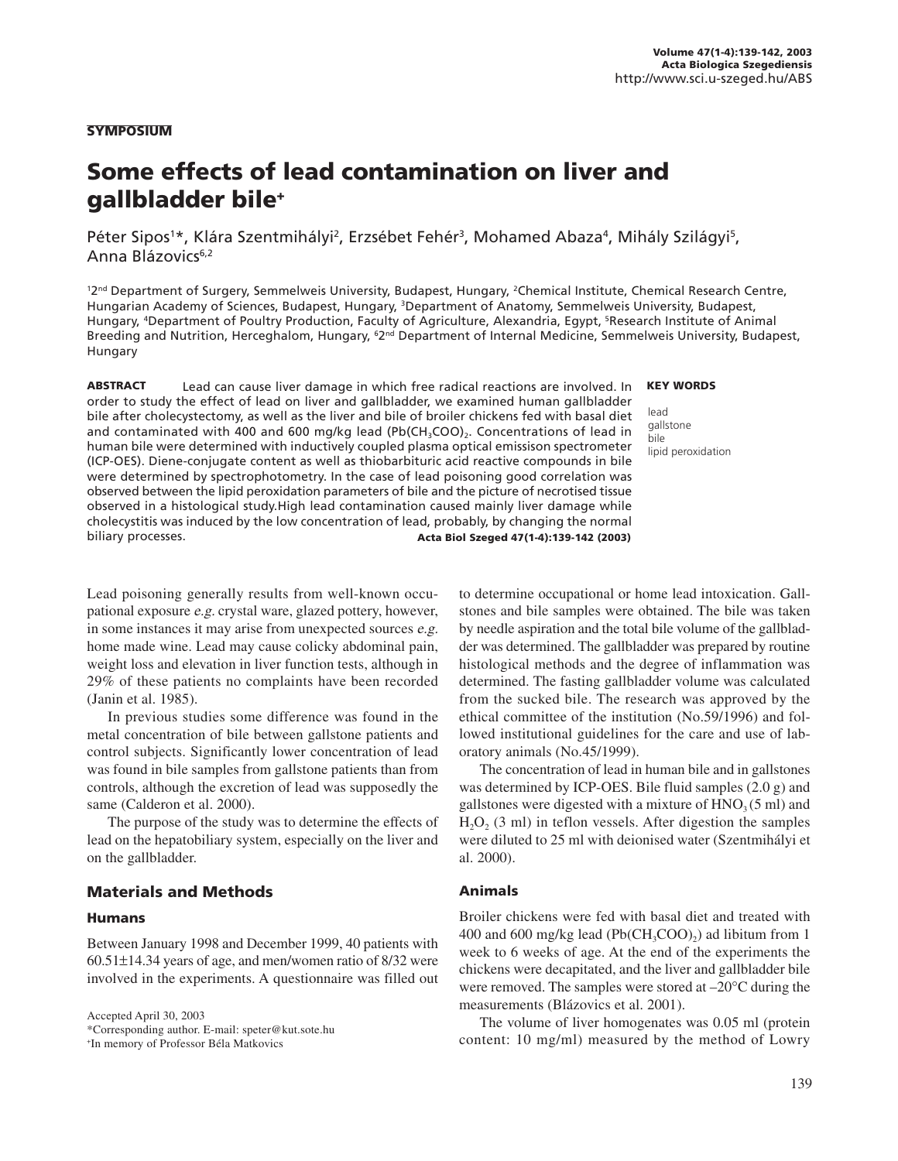### **SYMPOSIUM**

# Some effects of lead contamination on liver and gallbladder bile+

Péter Sipos<sup>1\*</sup>, Klára Szentmihályi<sup>2</sup>, Erzsébet Fehér<sup>3</sup>, Mohamed Abaza<sup>4</sup>, Mihály Szilágyi<sup>5</sup>, Anna Blázovics<sup>6,2</sup>

<sup>12nd</sup> Department of Surgery, Semmelweis University, Budapest, Hungary, <sup>2</sup>Chemical Institute, Chemical Research Centre, Hungarian Academy of Sciences, Budapest, Hungary, 3Department of Anatomy, Semmelweis University, Budapest, Hungary, <sup>4</sup>Department of Poultry Production, Faculty of Agriculture, Alexandria, Egypt, <sup>5</sup>Research Institute of Animal Breeding and Nutrition, Herceghalom, Hungary, 『2™ Department of Internal Medicine, Semmelweis University, Budapest, Hungary

ABSTRACT Lead can cause liver damage in which free radical reactions are involved. In order to study the effect of lead on liver and gallbladder, we examined human gallbladder bile after cholecystectomy, as well as the liver and bile of broiler chickens fed with basal diet and contaminated with 400 and 600 mg/kg lead (Pb( $CH<sub>3</sub>COO$ ),. Concentrations of lead in human bile were determined with inductively coupled plasma optical emissison spectrometer (ICP-OES). Diene-conjugate content as well as thiobarbituric acid reactive compounds in bile were determined by spectrophotometry. In the case of lead poisoning good correlation was observed between the lipid peroxidation parameters of bile and the picture of necrotised tissue observed in a histological study.High lead contamination caused mainly liver damage while cholecystitis was induced by the low concentration of lead, probably, by changing the normal biliary processes. Acta Biol Szeged 47(1-4):139-142 (2003)

#### KEY WORDS

lead gallstone bile lipid peroxidation

Lead poisoning generally results from well-known occupational exposure e.g. crystal ware, glazed pottery, however, in some instances it may arise from unexpected sources e.g. home made wine. Lead may cause colicky abdominal pain, weight loss and elevation in liver function tests, although in 29% of these patients no complaints have been recorded (Janin et al. 1985).

In previous studies some difference was found in the metal concentration of bile between gallstone patients and control subjects. Significantly lower concentration of lead was found in bile samples from gallstone patients than from controls, although the excretion of lead was supposedly the same (Calderon et al. 2000).

The purpose of the study was to determine the effects of lead on the hepatobiliary system, especially on the liver and on the gallbladder.

# Materials and Methods

#### Humans

Between January 1998 and December 1999, 40 patients with 60.51±14.34 years of age, and men/women ratio of 8/32 were involved in the experiments. A questionnaire was filled out

Accepted April 30, 2003 \*Corresponding author. E-mail: speter@kut.sote.hu + In memory of Professor Béla Matkovics

to determine occupational or home lead intoxication. Gallstones and bile samples were obtained. The bile was taken by needle aspiration and the total bile volume of the gallbladder was determined. The gallbladder was prepared by routine histological methods and the degree of inflammation was determined. The fasting gallbladder volume was calculated from the sucked bile. The research was approved by the ethical committee of the institution (No.59/1996) and followed institutional guidelines for the care and use of laboratory animals (No.45/1999).

The concentration of lead in human bile and in gallstones was determined by ICP-OES. Bile fluid samples (2.0 g) and gallstones were digested with a mixture of  $HNO<sub>3</sub>(5 ml)$  and  $H<sub>2</sub>O<sub>2</sub>$  (3 ml) in teflon vessels. After digestion the samples were diluted to 25 ml with deionised water (Szentmihályi et al. 2000).

## Animals

Broiler chickens were fed with basal diet and treated with 400 and 600 mg/kg lead (Pb( $CH_3COO$ )<sub>2</sub>) ad libitum from 1 week to 6 weeks of age. At the end of the experiments the chickens were decapitated, and the liver and gallbladder bile were removed. The samples were stored at –20°C during the measurements (Blázovics et al. 2001).

The volume of liver homogenates was 0.05 ml (protein content: 10 mg/ml) measured by the method of Lowry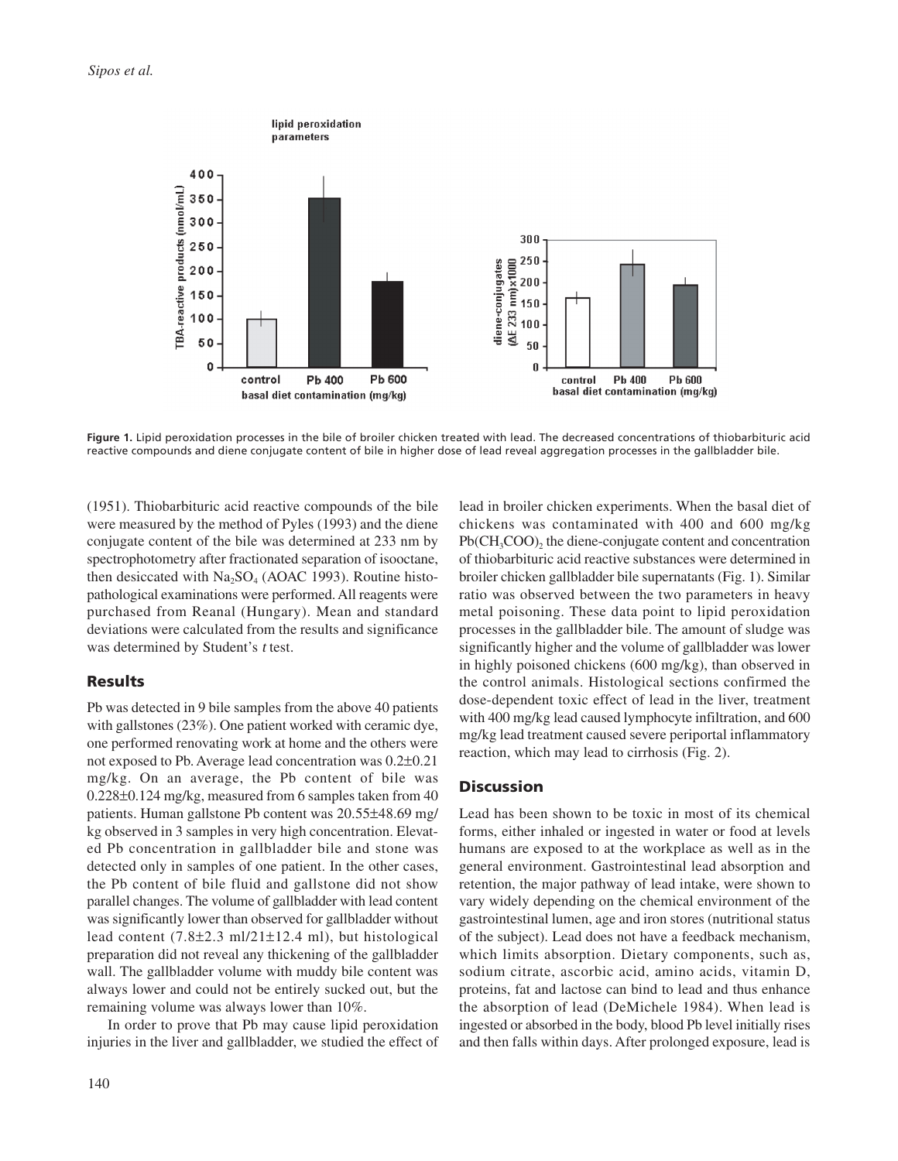

**Figure 1.** Lipid peroxidation processes in the bile of broiler chicken treated with lead. The decreased concentrations of thiobarbituric acid reactive compounds and diene conjugate content of bile in higher dose of lead reveal aggregation processes in the gallbladder bile.

(1951). Thiobarbituric acid reactive compounds of the bile were measured by the method of Pyles (1993) and the diene conjugate content of the bile was determined at 233 nm by spectrophotometry after fractionated separation of isooctane, then desiccated with  $Na<sub>2</sub>SO<sub>4</sub>$  (AOAC 1993). Routine histopathological examinations were performed. All reagents were purchased from Reanal (Hungary). Mean and standard deviations were calculated from the results and significance was determined by Student's t test.

# Results

Pb was detected in 9 bile samples from the above 40 patients with gallstones (23%). One patient worked with ceramic dye, one performed renovating work at home and the others were not exposed to Pb. Average lead concentration was 0.2±0.21 mg/kg. On an average, the Pb content of bile was 0.228±0.124 mg/kg, measured from 6 samples taken from 40 patients. Human gallstone Pb content was 20.55±48.69 mg/ kg observed in 3 samples in very high concentration. Elevated Pb concentration in gallbladder bile and stone was detected only in samples of one patient. In the other cases, the Pb content of bile fluid and gallstone did not show parallel changes. The volume of gallbladder with lead content was significantly lower than observed for gallbladder without lead content  $(7.8\pm 2.3 \text{ ml}/21\pm 12.4 \text{ ml})$ , but histological preparation did not reveal any thickening of the gallbladder wall. The gallbladder volume with muddy bile content was always lower and could not be entirely sucked out, but the remaining volume was always lower than 10%.

In order to prove that Pb may cause lipid peroxidation injuries in the liver and gallbladder, we studied the effect of lead in broiler chicken experiments. When the basal diet of chickens was contaminated with 400 and 600 mg/kg  $Pb(CH<sub>3</sub>COO)$ , the diene-conjugate content and concentration of thiobarbituric acid reactive substances were determined in broiler chicken gallbladder bile supernatants (Fig. 1). Similar ratio was observed between the two parameters in heavy metal poisoning. These data point to lipid peroxidation processes in the gallbladder bile. The amount of sludge was significantly higher and the volume of gallbladder was lower in highly poisoned chickens (600 mg/kg), than observed in the control animals. Histological sections confirmed the dose-dependent toxic effect of lead in the liver, treatment with 400 mg/kg lead caused lymphocyte infiltration, and 600 mg/kg lead treatment caused severe periportal inflammatory reaction, which may lead to cirrhosis (Fig. 2).

## **Discussion**

Lead has been shown to be toxic in most of its chemical forms, either inhaled or ingested in water or food at levels humans are exposed to at the workplace as well as in the general environment. Gastrointestinal lead absorption and retention, the major pathway of lead intake, were shown to vary widely depending on the chemical environment of the gastrointestinal lumen, age and iron stores (nutritional status of the subject). Lead does not have a feedback mechanism, which limits absorption. Dietary components, such as, sodium citrate, ascorbic acid, amino acids, vitamin D, proteins, fat and lactose can bind to lead and thus enhance the absorption of lead (DeMichele 1984). When lead is ingested or absorbed in the body, blood Pb level initially rises and then falls within days. After prolonged exposure, lead is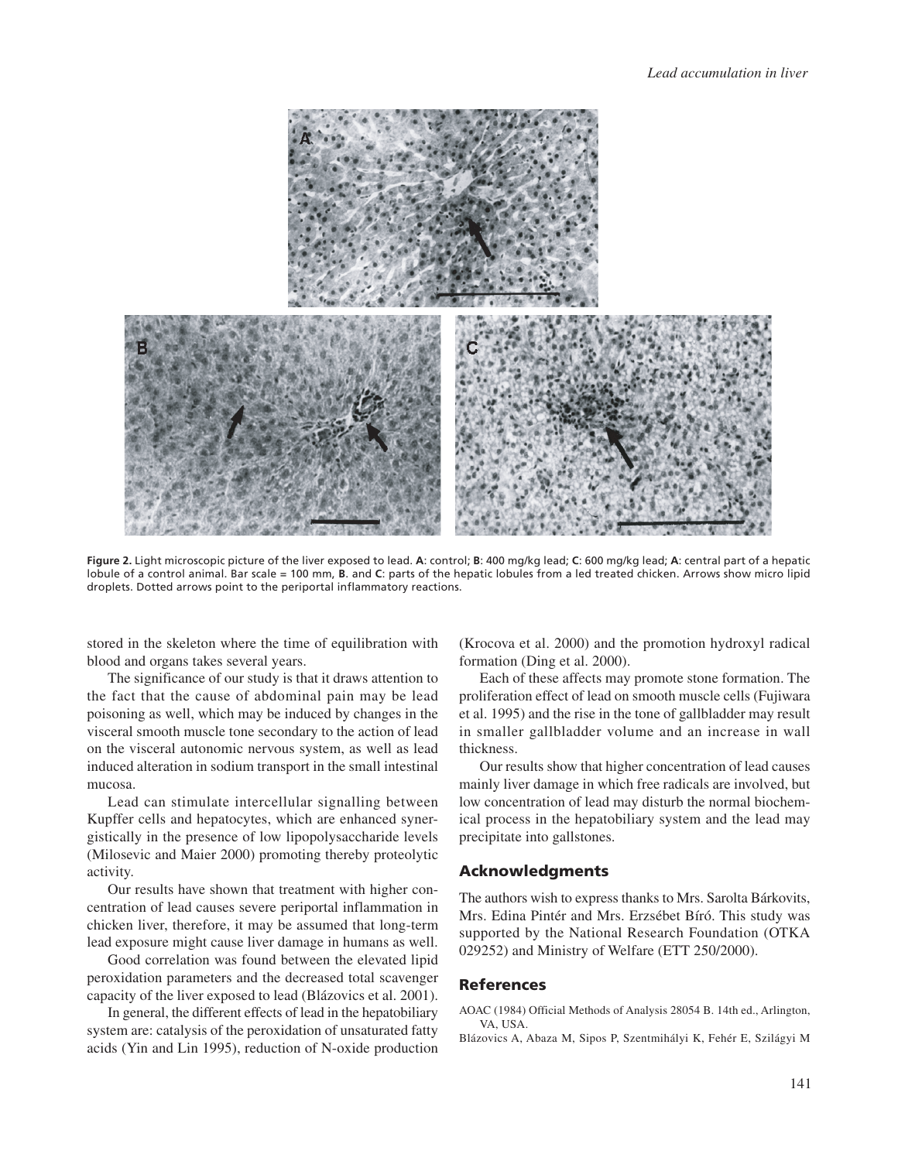

**Figure 2.** Light microscopic picture of the liver exposed to lead. **A**: control; **B**: 400 mg/kg lead; **C**: 600 mg/kg lead; **A**: central part of a hepatic lobule of a control animal. Bar scale = 100 mm, **B**. and **C**: parts of the hepatic lobules from a led treated chicken. Arrows show micro lipid droplets. Dotted arrows point to the periportal inflammatory reactions.

stored in the skeleton where the time of equilibration with blood and organs takes several years.

The significance of our study is that it draws attention to the fact that the cause of abdominal pain may be lead poisoning as well, which may be induced by changes in the visceral smooth muscle tone secondary to the action of lead on the visceral autonomic nervous system, as well as lead induced alteration in sodium transport in the small intestinal mucosa.

Lead can stimulate intercellular signalling between Kupffer cells and hepatocytes, which are enhanced synergistically in the presence of low lipopolysaccharide levels (Milosevic and Maier 2000) promoting thereby proteolytic activity.

Our results have shown that treatment with higher concentration of lead causes severe periportal inflammation in chicken liver, therefore, it may be assumed that long-term lead exposure might cause liver damage in humans as well.

Good correlation was found between the elevated lipid peroxidation parameters and the decreased total scavenger capacity of the liver exposed to lead (Blázovics et al. 2001).

In general, the different effects of lead in the hepatobiliary system are: catalysis of the peroxidation of unsaturated fatty acids (Yin and Lin 1995), reduction of N-oxide production (Krocova et al. 2000) and the promotion hydroxyl radical formation (Ding et al. 2000).

Each of these affects may promote stone formation. The proliferation effect of lead on smooth muscle cells (Fujiwara et al. 1995) and the rise in the tone of gallbladder may result in smaller gallbladder volume and an increase in wall thickness.

Our results show that higher concentration of lead causes mainly liver damage in which free radicals are involved, but low concentration of lead may disturb the normal biochemical process in the hepatobiliary system and the lead may precipitate into gallstones.

## Acknowledgments

The authors wish to express thanks to Mrs. Sarolta Bárkovits, Mrs. Edina Pintér and Mrs. Erzsébet Bíró. This study was supported by the National Research Foundation (OTKA 029252) and Ministry of Welfare (ETT 250/2000).

#### References

AOAC (1984) Official Methods of Analysis 28054 B. 14th ed., Arlington, VA, USA.

Blázovics A, Abaza M, Sipos P, Szentmihályi K, Fehér E, Szilágyi M